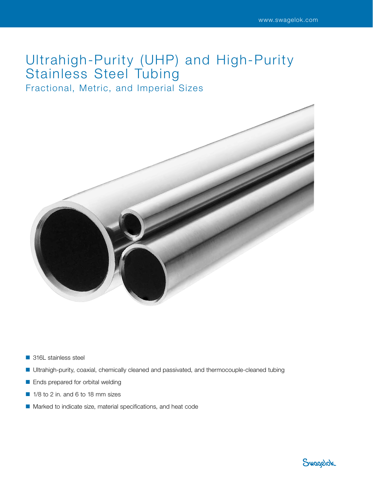# Ultrahigh-Purity (UHP) and High-Purity Stainless Steel Tubing

Fractional, Metric, and Imperial Sizes



- 316L stainless steel
- Ultrahigh-purity, coaxial, chemically cleaned and passivated, and thermocouple-cleaned tubing
- Ends prepared for orbital welding
- 1/8 to 2 in. and 6 to 18 mm sizes
- Marked to indicate size, material specifications, and heat code

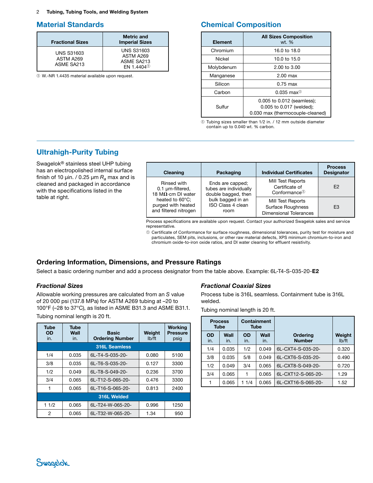2 Tubing, Tubing Tools, and Welding System

# Material Standards

| <b>Fractional Sizes</b>                      | <b>Metric and</b><br><b>Imperial Sizes</b>                             |
|----------------------------------------------|------------------------------------------------------------------------|
| <b>UNS S31603</b><br>ASTM A269<br>ASME SA213 | <b>UNS S31603</b><br>ASTM A269<br>ASME SA213<br>FN 1.4404 <sup>0</sup> |

➀ W.-NR 1.4435 material available upon request.

# Chemical Composition

| Element    | <b>All Sizes Composition</b><br>wt. %                                                      |  |
|------------|--------------------------------------------------------------------------------------------|--|
| Chromium   | 16.0 to 18.0                                                                               |  |
| Nickel     | 10.0 to 15.0                                                                               |  |
| Molybdenum | $2.00 \text{ to } 3.00$                                                                    |  |
| Manganese  | $2.00$ max                                                                                 |  |
| Silicon    | $0.75$ max                                                                                 |  |
| Carbon     | $0.035 \text{ max}$                                                                        |  |
| Sulfur     | 0.005 to 0.012 (seamless);<br>0.005 to 0.017 (welded);<br>0.030 max (thermocouple-cleaned) |  |

➀ Tubing sizes smaller than 1/2 in. / 12 mm outside diameter contain up to 0.040 wt. % carbon.

# Ultrahigh-Purity Tubing

Swagelok® stainless steel UHP tubing has an electropolished internal surface finish of 10  $\mu$ in. / 0.25  $\mu$ m  $R_a$  max and is cleaned and packaged in accordance with the specifications listed in the table at right.

| Cleaning                   | Packaging              | <b>Individual Certificates</b> | <b>Process</b><br><b>Designator</b> |
|----------------------------|------------------------|--------------------------------|-------------------------------------|
| Rinsed with                | Ends are capped;       | Mill Test Reports              | F <sub>2</sub>                      |
| $0.1 \mu m$ -filtered,     | tubes are individually | Certificate of                 |                                     |
| 18 M $\Omega$ ·cm DI water | double bagged, then    | Conformance $①$                |                                     |
| heated to 60°C;            | bulk bagged in an      | Mill Test Reports              | E <sub>3</sub>                      |
| purged with heated         | ISO Class 4 clean      | <b>Surface Roughness</b>       |                                     |
| and filtered nitrogen      | room                   | <b>Dimensional Tolerances</b>  |                                     |

Process specifications are available upon request. Contact your authorized Swagelok sales and service representative.

➀ Certificate of Conformance for surface roughness, dimensional tolerances, purity test for moisture and particulates, SEM pits, inclusions, or other raw material defects, XPS minimum chromium-to-iron and chromium oxide-to-iron oxide ratios, and DI water cleaning for effluent resistivity.

## Ordering Information, Dimensions, and Pressure Ratings

Select a basic ordering number and add a process designator from the table above. Example: 6L-T4-S-035-20-E2

#### <span id="page-1-0"></span>*Fractional Sizes*

Allowable working pressures are calculated from an *S* value of 20 000 psi (137.8 MPa) for ASTM A269 tubing at –20 to 100°F (–28 to 37°C), as listed in ASME B31.3 and ASME B31.1. Tubing nominal length is 20 ft.

| <b>Tube</b><br><b>OD</b><br>in. | <b>Tube</b><br>Wall<br>in. | <b>Basic</b><br><b>Ordering Number</b> | Weight<br>I <sub>b</sub> /ft | <b>Working</b><br><b>Pressure</b><br>psig |  |
|---------------------------------|----------------------------|----------------------------------------|------------------------------|-------------------------------------------|--|
|                                 |                            | <b>316L Seamless</b>                   |                              |                                           |  |
| 1/4                             | 0.035                      | 6L-T4-S-035-20-                        | 0.080                        | 5100                                      |  |
| 3/8                             | 0.035                      | 6L-T6-S-035-20-                        | 0.127                        | 3300                                      |  |
| 1/2                             | 0.049                      | 6L-T8-S-049-20-                        | 0.236                        | 3700                                      |  |
| 3/4                             | 0.065                      | 6L-T12-S-065-20-                       | 0.476                        | 3300                                      |  |
| 1                               | 0.065                      | 6L-T16-S-065-20-                       | 0.813                        | 2400                                      |  |
| 316L Welded                     |                            |                                        |                              |                                           |  |
| 11/2                            | 0.065                      | 6L-T24-W-065-20-                       | 0.996                        | 1250                                      |  |
| 2                               | 0.065                      | 6L-T32-W-065-20-                       | 1.34                         | 950                                       |  |

#### *Fractional Coaxial Sizes*

Process tube is 316L seamless. Containment tube is 316L welded.

Tubing nominal length is 20 ft.

|                  | <b>Process</b><br>Tube |                  | <b>Containment</b><br>Tube |                           |                              |
|------------------|------------------------|------------------|----------------------------|---------------------------|------------------------------|
| <b>OD</b><br>in. | Wall<br>in.            | <b>OD</b><br>in. | Wall<br>in.                | Ordering<br><b>Number</b> | Weight<br>I <sub>b</sub> /ft |
| 1/4              | 0.035                  | 1/2              | 0.049                      | 6L-CXT4-S-035-20-         | 0.320                        |
| 3/8              | 0.035                  | 5/8              | 0.049                      | 6L-CXT6-S-035-20-         | 0.490                        |
| 1/2              | 0.049                  | 3/4              | 0.065                      | 6L-CXT8-S-049-20-         | 0.720                        |
| 3/4              | 0.065                  | 1                | 0.065                      | 6L-CXT12-S-065-20-        | 1.29                         |
|                  | 0.065                  | 11/4             | 0.065                      | 6L-CXT16-S-065-20-        | 1.52                         |

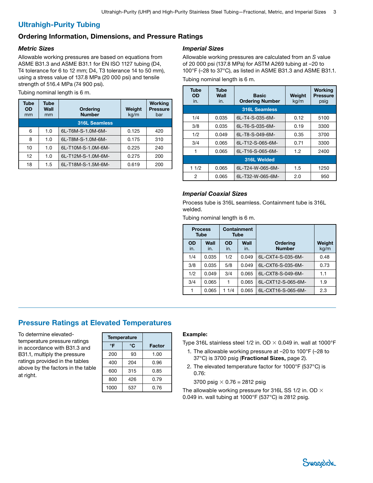# Ultrahigh-Purity Tubing

## Ordering Information, Dimensions, and Pressure Ratings

## *Metric Sizes*

Allowable working pressures are based on equations from ASME B31.3 and ASME B31.1 for EN ISO 1127 tubing (D4, T4 tolerance for 6 to 12 mm; D4, T3 tolerance 14 to 50 mm), using a stress value of 137.8 MPa (20 000 psi) and tensile strength of 516.4 MPa (74 900 psi).

Tubing nominal length is 6 m.

| Tube<br><b>OD</b><br>mm | Tube<br>Wall<br>mm | <b>Ordering</b><br><b>Number</b> | Weight<br>kg/m | <b>Working</b><br><b>Pressure</b><br>bar |
|-------------------------|--------------------|----------------------------------|----------------|------------------------------------------|
|                         |                    | <b>316L Seamless</b>             |                |                                          |
| 6                       | 1.0                | 6L-T6M-S-1.0M-6M-                | 0.125          | 420                                      |
| 8                       | 1.0                | 6L-T8M-S-1.0M-6M-                | 0.175          | 310                                      |
| 10                      | 1.0                | 6L-T10M-S-1.0M-6M-               | 0.225          | 240                                      |
| 12                      | 1.0                | 6L-T12M-S-1.0M-6M-               | 0.275          | 200                                      |
| 18                      | 1.5                | 6L-T18M-S-1.5M-6M-               | 0.619          | 200                                      |

#### *Imperial Sizes*

Allowable working pressures are calculated from an *S* value of 20 000 psi (137.8 MPa) for ASTM A269 tubing at –20 to 100°F (–28 to 37°C), as listed in ASME B31.3 and ASME B31.1. Tubing nominal length is 6 m.

| Tube<br><b>OD</b><br>in. | Tube<br>Wall<br>in. | <b>Basic</b><br><b>Ordering Number</b> | Weight<br>kg/m | <b>Working</b><br><b>Pressure</b><br>psig |  |
|--------------------------|---------------------|----------------------------------------|----------------|-------------------------------------------|--|
|                          |                     | <b>316L Seamless</b>                   |                |                                           |  |
| 1/4                      | 0.035               | 6L-T4-S-035-6M-                        | 0.12           | 5100                                      |  |
| 3/8                      | 0.035               | 6L-T6-S-035-6M-                        | 0.19           | 3300                                      |  |
| 1/2                      | 0.049               | 6L-T8-S-049-6M-                        | 0.35           | 3700                                      |  |
| 3/4                      | 0.065               | 6L-T12-S-065-6M-                       | 0.71           | 3300                                      |  |
| 1                        | 0.065               | 6L-T16-S-065-6M-                       | 1.2            | 2400                                      |  |
| 316L Welded              |                     |                                        |                |                                           |  |
| 11/2                     | 0.065               | 6L-T24-W-065-6M-                       | 1.5            | 1250                                      |  |
| 2                        | 0.065               | 6L-T32-W-065-6M-                       | 2.0            | 950                                       |  |

#### *Imperial Coaxial Sizes*

Process tube is 316L seamless. Containment tube is 316L welded.

Tubing nominal length is 6 m.

|                  | <b>Process</b><br><b>Tube</b> | <b>Containment</b><br><b>Tube</b> |             |                                  |                |
|------------------|-------------------------------|-----------------------------------|-------------|----------------------------------|----------------|
| <b>OD</b><br>in. | Wall<br>in.                   | <b>OD</b><br>in.                  | Wall<br>in. | <b>Ordering</b><br><b>Number</b> | Weight<br>kg/m |
| 1/4              | 0.035                         | 1/2                               | 0.049       | 6L-CXT4-S-035-6M-                | 0.48           |
| 3/8              | 0.035                         | 5/8                               | 0.049       | 6L-CXT6-S-035-6M-                | 0.73           |
| 1/2              | 0.049                         | 3/4                               | 0.065       | 6L-CXT8-S-049-6M-                | 1.1            |
| 3/4              | 0.065                         | 1                                 | 0.065       | 6L-CXT12-S-065-6M-               | 1.9            |
|                  | 0.065                         | 11/4                              | 0.065       | 6L-CXT16-S-065-6M-               | 2.3            |

# Pressure Ratings at Elevated Temperatures

To determine elevatedtemperature pressure ratings in accordance with B31.3 and B31.1, multiply the pressure ratings provided in the tables above by the factors in the table at right.

| <b>Temperature</b> |     |        |
|--------------------|-----|--------|
| °C<br>°F           |     | Factor |
| 200                | 93  | 1.00   |
| 400                | 204 | 0.96   |
| 600                | 315 | 0.85   |
| 800                | 426 | 0.79   |
| 1000               | 537 | 0.76   |

#### Example:

Type 316L stainless steel 1/2 in. OD  $\times$  0.049 in. wall at 1000°F

- 1. The allowable working pressure at –20 to 100°F (–28 to 37°C) is 3700 psig (Fractional Sizes, page [2\)](#page-1-0).
- 2. The elevated temperature factor for 1000°F (537°C) is 0.76:

3700 psig  $\times$  0.76 = 2812 psig

The allowable working pressure for 316L SS 1/2 in. OD  $\times$ 0.049 in. wall tubing at 1000°F (537°C) is 2812 psig.

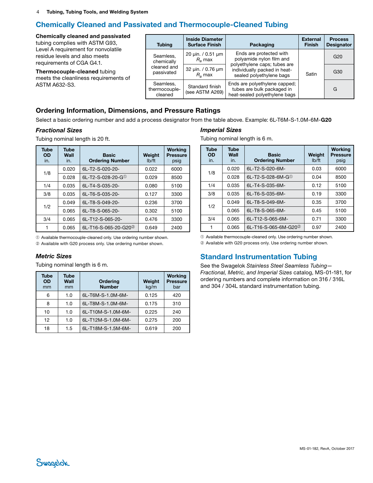# Chemically Cleaned and Passivated and Thermocouple-Cleaned Tubing

Chemically cleaned and passivated tubing complies with ASTM G93, Level A requirement for nonvolatile residue levels and also meets requirements of CGA G4.1.

Thermocouple-cleaned tubing meets the cleanliness requirements of ASTM A632-S3.

| <b>Tubing</b>                         | <b>Inside Diameter</b><br><b>Surface Finish</b> | Packaging                                                                                    | <b>External</b><br><b>Finish</b> | <b>Process</b><br><b>Designator</b> |
|---------------------------------------|-------------------------------------------------|----------------------------------------------------------------------------------------------|----------------------------------|-------------------------------------|
| Seamless,<br>chemically               | 20 $\mu$ in. / 0.51 $\mu$ m<br>$R_a$ max        | Ends are protected with<br>polyamide nylon film and<br>polyethylene caps; tubes are          |                                  | G <sub>20</sub>                     |
| cleaned and<br>passivated             | 32 uin. / 0.76 um<br>$Ro$ max                   | individually packed in heat-<br>sealed polyethylene bags                                     | Satin                            | G30                                 |
| Seamless,<br>thermocouple-<br>cleaned | Standard finish<br>(see ASTM A269)              | Ends are polyethylene capped;<br>tubes are bulk packaged in<br>heat-sealed polyethylene bags |                                  | G                                   |

## Ordering Information, Dimensions, and Pressure Ratings

Select a basic ordering number and add a process designator from the table above. Example: 6L-T6M-S-1.0M-6M-G20

#### *Fractional Sizes*

Tubing nominal length is 20 ft.

| <b>Tube</b><br><b>OD</b><br>in. | <b>Tube</b><br>Wall<br>in. | <b>Basic</b><br><b>Ordering Number</b> | Weight<br>Ib/ft | <b>Working</b><br><b>Pressure</b><br>psig |
|---------------------------------|----------------------------|----------------------------------------|-----------------|-------------------------------------------|
| 1/8                             | 0.020                      | 6L-T2-S-020-20-                        | 0.022           | 6000                                      |
|                                 | 0.028                      | 6L-T2-S-028-20-G $^{\circ}$            | 0.029           | 8500                                      |
| 1/4                             | 0.035                      | 6L-T4-S-035-20-                        | 0.080           | 5100                                      |
| 3/8                             | 0.035                      | 6L-T6-S-035-20-                        | 0.127           | 3300                                      |
| 1/2                             | 0.049                      | 6L-T8-S-049-20-                        | 0.236           | 3700                                      |
|                                 | 0.065                      | 6L-T8-S-065-20-                        | 0.302           | 5100                                      |
| 3/4                             | 0.065                      | 6L-T12-S-065-20-                       | 0.476           | 3300                                      |
|                                 | 0.065                      | 6L-T16-S-065-20-G20 <sup>2</sup>       | 0.649           | 2400                                      |

*Imperial Sizes*

Tubing nominal length is 6 m.

| <b>Tube</b><br><b>OD</b><br>in. | <b>Tube</b><br>Wall<br>in. | <b>Basic</b><br><b>Ordering Number</b> | Weight<br>I <sub>b</sub> /ft | <b>Working</b><br><b>Pressure</b><br>psig |
|---------------------------------|----------------------------|----------------------------------------|------------------------------|-------------------------------------------|
| 1/8                             | 0.020                      | 6L-T2-S-020-6M-                        | 0.03                         | 6000                                      |
|                                 | 0.028                      | 6L-T2-S-028-6M-G $^{\circ}$            | 0.04                         | 8500                                      |
| 1/4                             | 0.035                      | 6L-T4-S-035-6M-                        | 0.12                         | 5100                                      |
| 3/8                             | 0.035                      | 6L-T6-S-035-6M-                        | 0.19                         | 3300                                      |
| 1/2                             | 0.049                      | 6L-T8-S-049-6M-                        | 0.35                         | 3700                                      |
|                                 | 0.065                      | 6L-T8-S-065-6M-                        | 0.45                         | 5100                                      |
| 3/4                             | 0.065                      | 6L-T12-S-065-6M-                       | 0.71                         | 3300                                      |
|                                 | 0.065                      | 6L-T16-S-065-6M-G20 <sup>2</sup>       | 0.97                         | 2400                                      |

➀ Available thermocouple-cleaned only. Use ordering number shown.

➁ Available with G20 process only. Use ordering number shown.

#### *Metric Sizes*

Tubing nominal length is 6 m.

| <b>Tube</b><br><b>OD</b><br>mm | <b>Tube</b><br>Wall<br>mm | <b>Ordering</b><br><b>Number</b> | Weight<br>kg/m | <b>Working</b><br><b>Pressure</b><br>bar |
|--------------------------------|---------------------------|----------------------------------|----------------|------------------------------------------|
| 6                              | 1.0                       | 6L-T6M-S-1.0M-6M-                | 0.125          | 420                                      |
| 8                              | 1.0                       | 6L-T8M-S-1.0M-6M-                | 0.175          | 310                                      |
| 10                             | 1.0                       | 6L-T10M-S-1.0M-6M-               | 0.225          | 240                                      |
| 12                             | 1.0                       | 6L-T12M-S-1.0M-6M-               | 0.275          | 200                                      |
| 18                             | 1.5                       | 6L-T18M-S-1.5M-6M-               | 0.619          | 200                                      |

➀ Available thermocouple-cleaned only. Use ordering number shown.

➁ Available with G20 process only. Use ordering number shown.

# Standard Instrumentation Tubing

See the Swagelok *Stainless Steel Seamless Tubing— Fractional, Metric, and Imperial Sizes* catalog, [MS-01-181](http://www.swagelok.com/downloads/webcatalogs/EN/MS-01-181.PDF), for ordering numbers and complete information on 316 / 316L and 304 / 304L standard instrumentation tubing.